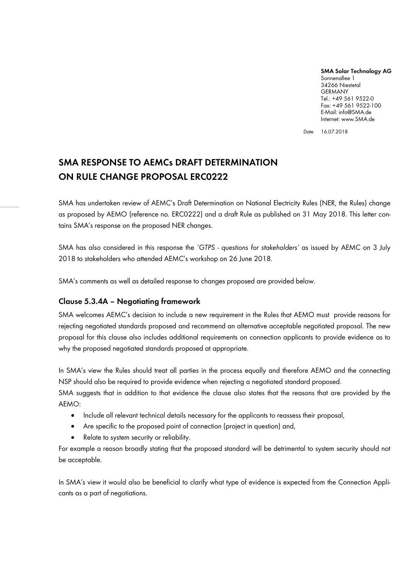**SMA Solar Technology AG** Sonnenallee 1 34266 Niestetal GERMANY Tel.: +49 561 9522-0 Fax: +49 561 9522-100 E-Mail: info@SMA.de Internet: www.SMA.de

Date 16.07.2018

# **SMA RESPONSE TO AEMCs DRAFT DETERMINATION ON RULE CHANGE PROPOSAL ERC0222**

SMA has undertaken review of AEMC's Draft Determination on National Electricity Rules (NER, the Rules) change as proposed by AEMO (reference no. ERC0222) and a draft Rule as published on 31 May 2018. This letter contains SMA's response on the proposed NER changes.

SMA has also considered in this response the *'GTPS - questions for stakeholders'* as issued by AEMC on 3 July 2018 to stakeholders who attended AEMC's workshop on 26 June 2018.

SMA's comments as well as detailed response to changes proposed are provided below.

# **Clause 5.3.4A – Negotiating framework**

SMA welcomes AEMC's decision to include a new requirement in the Rules that AEMO must provide reasons for rejecting negotiated standards proposed and recommend an alternative acceptable negotiated proposal. The new proposal for this clause also includes additional requirements on connection applicants to provide evidence as to why the proposed negotiated standards proposed at appropriate.

In SMA's view the Rules should treat all parties in the process equally and therefore AEMO and the connecting NSP should also be required to provide evidence when rejecting a negotiated standard proposed.

SMA suggests that in addition to that evidence the clause also states that the reasons that are provided by the AEMO:

- Include all relevant technical details necessary for the applicants to reassess their proposal,
- Are specific to the proposed point of connection (project in question) and,
- Relate to system security or reliability.

For example a reason broadly stating that the proposed standard will be detrimental to system security should not be acceptable.

In SMA's view it would also be beneficial to clarify what type of evidence is expected from the Connection Applicants as a part of negotiations.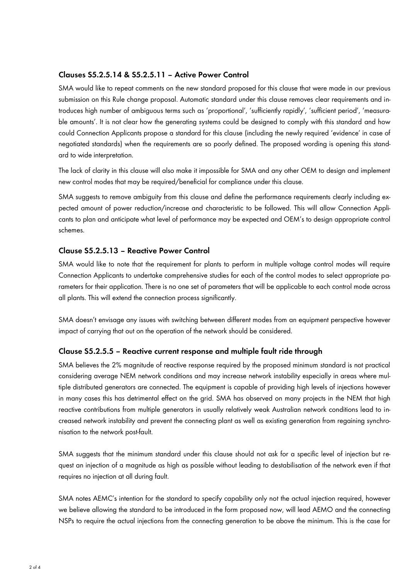## **Clauses S5.2.5.14 & S5.2.5.11 – Active Power Control**

SMA would like to repeat comments on the new standard proposed for this clause that were made in our previous submission on this Rule change proposal. Automatic standard under this clause removes clear requirements and introduces high number of ambiguous terms such as 'proportional', 'sufficiently rapidly', 'sufficient period', 'measurable amounts'. It is not clear how the generating systems could be designed to comply with this standard and how could Connection Applicants propose a standard for this clause (including the newly required 'evidence' in case of negotiated standards) when the requirements are so poorly defined. The proposed wording is opening this standard to wide interpretation.

The lack of clarity in this clause will also make it impossible for SMA and any other OEM to design and implement new control modes that may be required/beneficial for compliance under this clause.

SMA suggests to remove ambiguity from this clause and define the performance requirements clearly including expected amount of power reduction/increase and characteristic to be followed. This will allow Connection Applicants to plan and anticipate what level of performance may be expected and OEM's to design appropriate control schemes.

#### **Clause S5.2.5.13 – Reactive Power Control**

SMA would like to note that the requirement for plants to perform in multiple voltage control modes will require Connection Applicants to undertake comprehensive studies for each of the control modes to select appropriate parameters for their application. There is no one set of parameters that will be applicable to each control mode across all plants. This will extend the connection process significantly.

SMA doesn't envisage any issues with switching between different modes from an equipment perspective however impact of carrying that out on the operation of the network should be considered.

#### **Clause S5.2.5.5 – Reactive current response and multiple fault ride through**

SMA believes the 2% magnitude of reactive response required by the proposed minimum standard is not practical considering average NEM network conditions and may increase network instability especially in areas where multiple distributed generators are connected. The equipment is capable of providing high levels of injections however in many cases this has detrimental effect on the grid. SMA has observed on many projects in the NEM that high reactive contributions from multiple generators in usually relatively weak Australian network conditions lead to increased network instability and prevent the connecting plant as well as existing generation from regaining synchronisation to the network post-fault.

SMA suggests that the minimum standard under this clause should not ask for a specific level of injection but request an injection of a magnitude as high as possible without leading to destabilisation of the network even if that requires no injection at all during fault.

SMA notes AEMC's intention for the standard to specify capability only not the actual injection required, however we believe allowing the standard to be introduced in the form proposed now, will lead AEMO and the connecting NSPs to require the actual injections from the connecting generation to be above the minimum. This is the case for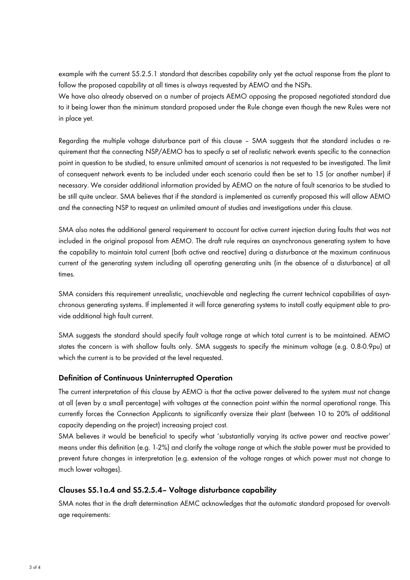example with the current S5.2.5.1 standard that describes capability only yet the actual response from the plant to follow the proposed capability at all times is always requested by AEMO and the NSPs.

We have also already observed on a number of projects AEMO opposing the proposed negotiated standard due to it being lower than the minimum standard proposed under the Rule change even though the new Rules were not in place yet.

Regarding the multiple voltage disturbance part of this clause – SMA suggests that the standard includes a requirement that the connecting NSP/AEMO has to specify a set of realistic network events specific to the connection point in question to be studied, to ensure unlimited amount of scenarios is not requested to be investigated. The limit of consequent network events to be included under each scenario could then be set to 15 (or another number) if necessary. We consider additional information provided by AEMO on the nature of fault scenarios to be studied to be still quite unclear. SMA believes that if the standard is implemented as currently proposed this will allow AEMO and the connecting NSP to request an unlimited amount of studies and investigations under this clause.

SMA also notes the additional general requirement to account for active current injection during faults that was not included in the original proposal from AEMO. The draft rule requires an asynchronous generating system to have the capability to maintain total current (both active and reactive) during a disturbance at the maximum continuous current of the generating system including all operating generating units (in the absence of a disturbance) at all times.

SMA considers this requirement unrealistic, unachievable and neglecting the current technical capabilities of asynchronous generating systems. If implemented it will force generating systems to install costly equipment able to provide additional high fault current.

SMA suggests the standard should specify fault voltage range at which total current is to be maintained. AEMO states the concern is with shallow faults only. SMA suggests to specify the minimum voltage (e.g. 0.8-0.9pu) at which the current is to be provided at the level requested.

## **Definition of Continuous Uninterrupted Operation**

The current interpretation of this clause by AEMO is that the active power delivered to the system must not change at all (even by a small percentage) with voltages at the connection point within the normal operational range. This currently forces the Connection Applicants to significantly oversize their plant (between 10 to 20% of additional capacity depending on the project) increasing project cost.

SMA believes it would be beneficial to specify what 'substantially varying its active power and reactive power' means under this definition (e.g. 1-2%) and clarify the voltage range at which the stable power must be provided to prevent future changes in interpretation (e.g. extension of the voltage ranges at which power must not change to much lower voltages).

## **Clauses S5.1a.4 and S5.2.5.4– Voltage disturbance capability**

SMA notes that in the draft determination AEMC acknowledges that the automatic standard proposed for overvoltage requirements: